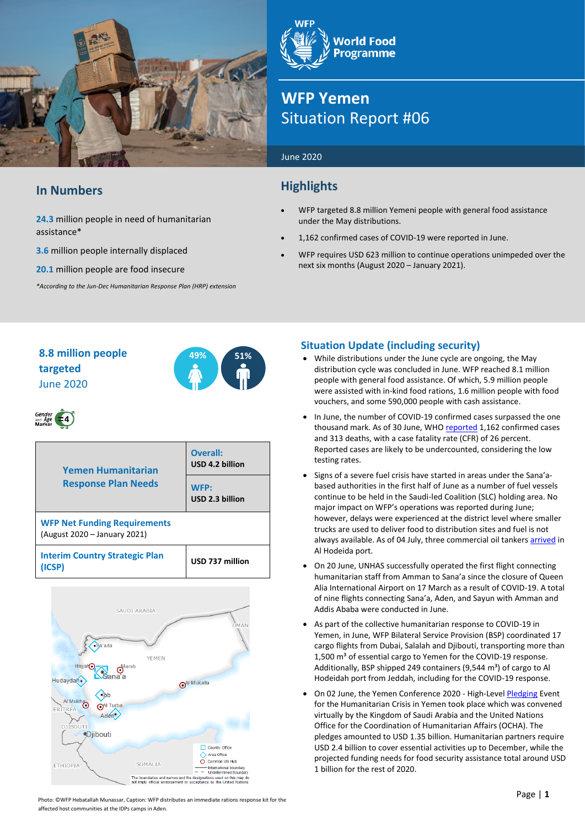

## **In Numbers**

#### **24.3** million people in need of humanitarian assistance\*

- **3.6** million people internally displaced
- **20.1** million people are food insecure

*\*According to the Jun-Dec Humanitarian Response Plan (HRP) extension*

**World Food Programme** 

## **WFP Yemen** Situation Report #06

#### June 2020

## **Highlights**

- WFP targeted 8.8 million Yemeni people with general food assistance under the May distributions.
- 1,162 confirmed cases of COVID-19 were reported in June.
- WFP requires USD 623 million to continue operations unimpeded over the next six months (August 2020 – January 2021).

## **8.8 million people 49% 51% targeted** June 2020



# Gender  $\overline{4}$

| <b>Yemen Humanitarian</b><br><b>Response Plan Needs</b>             | Overall:<br>USD 4.2 billion<br>WFP:<br>USD 2.3 billion |  |
|---------------------------------------------------------------------|--------------------------------------------------------|--|
| <b>WFP Net Funding Requirements</b><br>(August 2020 - January 2021) |                                                        |  |
| <b>Interim Country Strategic Plan</b><br>(ICSP)                     | USD 737 million                                        |  |



## **Situation Update (including security)**

- While distributions under the June cycle are ongoing, the May distribution cycle was concluded in June. WFP reached 8.1 million people with general food assistance. Of which, 5.9 million people were assisted with in-kind food rations, 1.6 million people with food vouchers, and some 590,000 people with cash assistance.
- In June, the number of COVID-19 confirmed cases surpassed the one thousand mark. As of 30 June, WH[O reported](https://app.powerbi.com/view?r=eyJrIjoiZjE2NzJjZDItNDgyZi00NDFkLWFlMjItNjA2MjIwMWYzODJkIiwidCI6ImY2MTBjMGI3LWJkMjQtNGIzOS04MTBiLTNkYzI4MGFmYjU5MCIsImMiOjh9) 1,162 confirmed cases and 313 deaths, with a case fatality rate (CFR) of 26 percent. Reported cases are likely to be undercounted, considering the low testing rates.
- Signs of a severe fuel crisis have started in areas under the Sana'abased authorities in the first half of June as a number of fuel vessels continue to be held in the Saudi-led Coalition (SLC) holding area. No major impact on WFP's operations was reported during June; however, delays were experienced at the district level where smaller trucks are used to deliver food to distribution sites and fuel is not always available. As of 04 July, three commercial oil tanker[s arrived](https://eur03.safelinks.protection.outlook.com/?url=https%3A%2F%2Fwww.aa.com.tr%2Fen%2Fmiddle-east%2Fyemeni-rebels-say-3-oil-tankers-arrived-in-hudaydah%2F1899695&data=02%7C01%7Cisadora.daimmo%40wfp.org%7C2b3e2ca916c240daa81808d8224ace35%7C462ad9aed7d94206b87471b1e079776f%7C0%7C0%7C637297052029580779&sdata=jn7J8CUwbWZKQ2xpLJQr%2B4Q8%2Fa9QENw5PPjeVaL%2BTPw%3D&reserved=0) in Al Hodeida port.
- On 20 June, UNHAS successfully operated the first flight connecting humanitarian staff from Amman to Sana'a since the closure of Queen Alia International Airport on 17 March as a result of COVID-19. A total of nine flights connecting Sana'a, Aden, and Sayun with Amman and Addis Ababa were conducted in June.
- As part of the collective humanitarian response to COVID-19 in Yemen, in June, WFP Bilateral Service Provision (BSP) coordinated 17 cargo flights from Dubai, Salalah and Djibouti, transporting more than 1,500 m<sup>3</sup> of essential cargo to Yemen for the COVID-19 response. Additionally, BSP shipped 249 containers (9,544  $m<sup>3</sup>$ ) of cargo to Al Hodeidah port from Jeddah, including for the COVID-19 response.
- On 02 June, the Yemen Conference 2020 High-Level [Pledging](https://reliefweb.int/report/yemen/international-donors-meet-humanitarian-agencies-sound-alarm-yemen-and-call-urgent) Event for the Humanitarian Crisis in Yemen took place which was convened virtually by the Kingdom of Saudi Arabia and the United Nations Office for the Coordination of Humanitarian Affairs (OCHA). The pledges amounted to USD 1.35 billion. Humanitarian partners require USD 2.4 billion to cover essential activities up to December, while the projected funding needs for food security assistance total around USD 1 billion for the rest of 2020.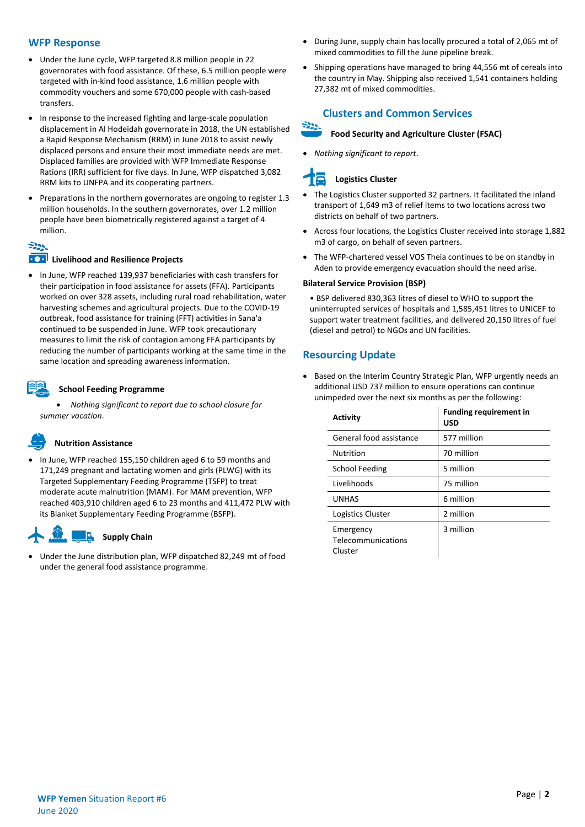#### **WFP Response**

- Under the June cycle, WFP targeted 8.8 million people in 22 governorates with food assistance. Of these, 6.5 million people were targeted with in-kind food assistance, 1.6 million people with commodity vouchers and some 670,000 people with cash-based transfers.
- In response to the increased fighting and large-scale population displacement in Al Hodeidah governorate in 2018, the UN established a Rapid Response Mechanism (RRM) in June 2018 to assist newly displaced persons and ensure their most immediate needs are met. Displaced families are provided with WFP Immediate Response Rations (IRR) sufficient for five days. In June, WFP dispatched 3,082 RRM kits to UNFPA and its cooperating partners.
- Preparations in the northern governorates are ongoing to register 1.3 million households. In the southern governorates, over 1.2 million people have been biometrically registered against a target of 4 million.

## $\div \circ$

#### **EXPLO Livelihood and Resilience Projects**

• In June, WFP reached 139,937 beneficiaries with cash transfers for their participation in food assistance for assets (FFA). Participants worked on over 328 assets, including rural road rehabilitation, water harvesting schemes and agricultural projects. Due to the COVID-19 outbreak, food assistance for training (FFT) activities in Sana'a continued to be suspended in June. WFP took precautionary measures to limit the risk of contagion among FFA participants by reducing the number of participants working at the same time in the same location and spreading awareness information.

#### **School Feeding Programme**

• *Nothing significant to report due to school closure for summer vacation*.

### **Nutrition Assistance**

• In June, WFP reached 155,150 children aged 6 to 59 months and 171,249 pregnant and lactating women and girls (PLWG) with its Targeted Supplementary Feeding Programme (TSFP) to treat moderate acute malnutrition (MAM). For MAM prevention, WFP reached 403,910 children aged 6 to 23 months and 411,472 PLW with its Blanket Supplementary Feeding Programme (BSFP).

#### JA. **Supply Chain**

• Under the June distribution plan, WFP dispatched 82,249 mt of food under the general food assistance programme.

- During June, supply chain has locally procured a total of 2,065 mt of mixed commodities to fill the June pipeline break.
- Shipping operations have managed to bring 44,556 mt of cereals into the country in May. Shipping also received 1,541 containers holding 27,382 mt of mixed commodities.

### **Clusters and Common Services**

#### **Food Security and Agriculture Cluster (FSAC)**

• *Nothing significant to report*.

## **Logistics Cluster**

وولاة

- The Logistics Cluster supported 32 partners. It facilitated the inland transport of 1,649 m3 of relief items to two locations across two districts on behalf of two partners.
- Across four locations, the Logistics Cluster received into storage 1,882 m3 of cargo, on behalf of seven partners.
- The WFP-chartered vessel VOS Theia continues to be on standby in Aden to provide emergency evacuation should the need arise.

#### **Bilateral Service Provision (BSP)**

• BSP delivered 830,363 litres of diesel to WHO to support the uninterrupted services of hospitals and 1,585,451 litres to UNICEF to support water treatment facilities, and delivered 20,150 litres of fuel (diesel and petrol) to NGOs and UN facilities.

#### **Resourcing Update**

• Based on the Interim Country Strategic Plan, WFP urgently needs an additional USD 737 million to ensure operations can continue unimpeded over the next six months as per the following:

| <b>Activity</b>                            | <b>Funding requirement in</b><br><b>USD</b> |
|--------------------------------------------|---------------------------------------------|
| General food assistance                    | 577 million                                 |
| <b>Nutrition</b>                           | 70 million                                  |
| School Feeding                             | 5 million                                   |
| Livelihoods                                | 75 million                                  |
| <b>UNHAS</b>                               | 6 million                                   |
| Logistics Cluster                          | 2 million                                   |
| Emergency<br>Telecommunications<br>Cluster | 3 million                                   |